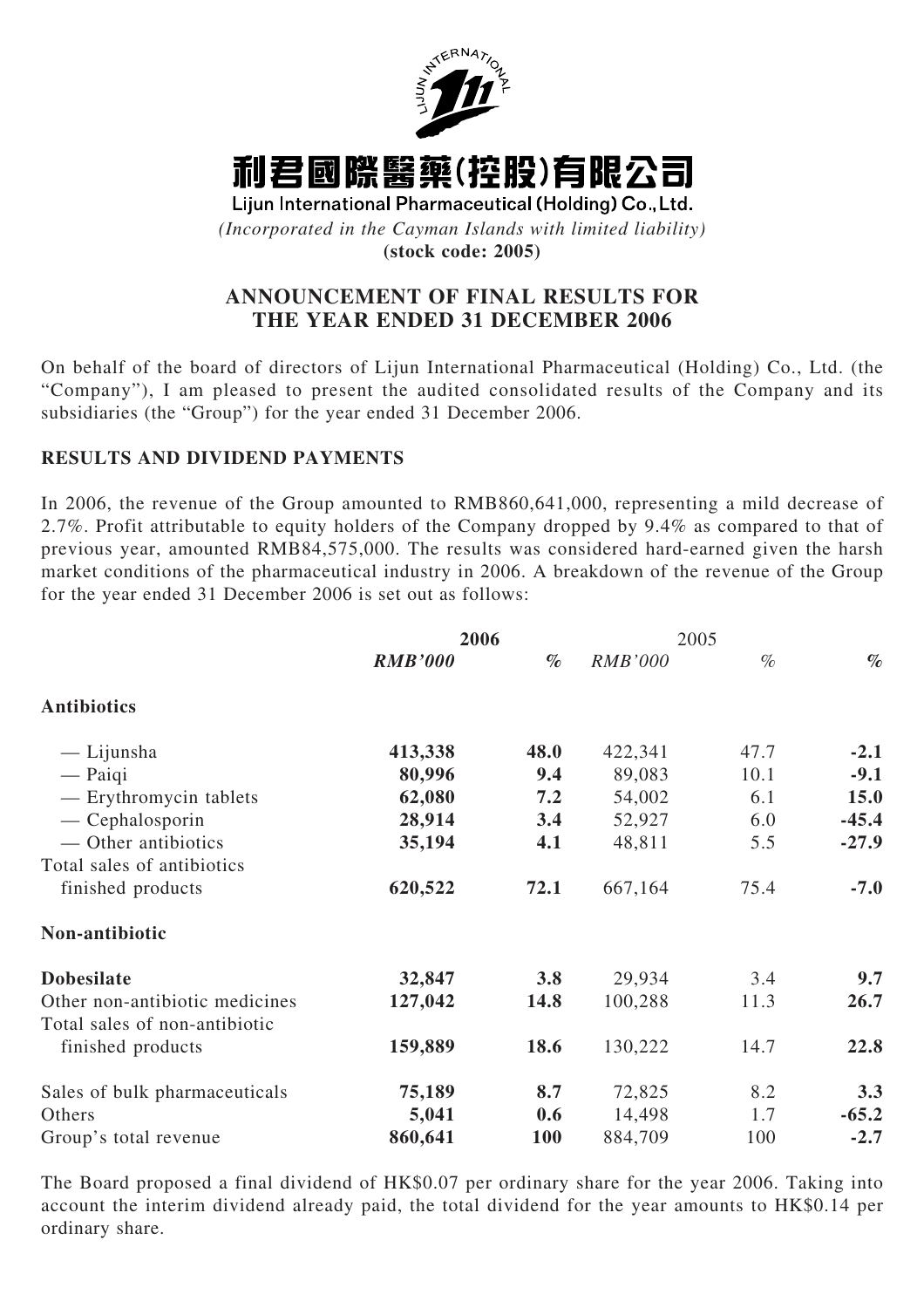

# 利君國際醫藥(控股)有限公司

Lijun International Pharmaceutical (Holding) Co., Ltd. *(Incorporated in the Cayman Islands with limited liability)*

**(stock code: 2005)**

# **ANNOUNCEMENT OF FINAL RESULTS FOR THE YEAR ENDED 31 DECEMBER 2006**

On behalf of the board of directors of Lijun International Pharmaceutical (Holding) Co., Ltd. (the "Company"), I am pleased to present the audited consolidated results of the Company and its subsidiaries (the "Group") for the year ended 31 December 2006.

## **RESULTS AND DIVIDEND PAYMENTS**

In 2006, the revenue of the Group amounted to RMB860,641,000, representing a mild decrease of 2.7%. Profit attributable to equity holders of the Company dropped by 9.4% as compared to that of previous year, amounted RMB84,575,000. The results was considered hard-earned given the harsh market conditions of the pharmaceutical industry in 2006. A breakdown of the revenue of the Group for the year ended 31 December 2006 is set out as follows:

|                                | 2006           |      | 2005           |      |         |
|--------------------------------|----------------|------|----------------|------|---------|
|                                | <b>RMB'000</b> | $\%$ | <b>RMB'000</b> | $\%$ | $\%$    |
| <b>Antibiotics</b>             |                |      |                |      |         |
| — Lijunsha                     | 413,338        | 48.0 | 422,341        | 47.7 | $-2.1$  |
| $-$ Paiqi                      | 80,996         | 9.4  | 89,083         | 10.1 | $-9.1$  |
| — Erythromycin tablets         | 62,080         | 7.2  | 54,002         | 6.1  | 15.0    |
| $-$ Cephalosporin              | 28,914         | 3.4  | 52,927         | 6.0  | $-45.4$ |
| — Other antibiotics            | 35,194         | 4.1  | 48,811         | 5.5  | $-27.9$ |
| Total sales of antibiotics     |                |      |                |      |         |
| finished products              | 620,522        | 72.1 | 667,164        | 75.4 | $-7.0$  |
| Non-antibiotic                 |                |      |                |      |         |
| <b>Dobesilate</b>              | 32,847         | 3.8  | 29,934         | 3.4  | 9.7     |
| Other non-antibiotic medicines | 127,042        | 14.8 | 100,288        | 11.3 | 26.7    |
| Total sales of non-antibiotic  |                |      |                |      |         |
| finished products              | 159,889        | 18.6 | 130,222        | 14.7 | 22.8    |
| Sales of bulk pharmaceuticals  | 75,189         | 8.7  | 72,825         | 8.2  | 3.3     |
| Others                         | 5,041          | 0.6  | 14,498         | 1.7  | $-65.2$ |
| Group's total revenue          | 860,641        | 100  | 884,709        | 100  | $-2.7$  |

The Board proposed a final dividend of HK\$0.07 per ordinary share for the year 2006. Taking into account the interim dividend already paid, the total dividend for the year amounts to HK\$0.14 per ordinary share.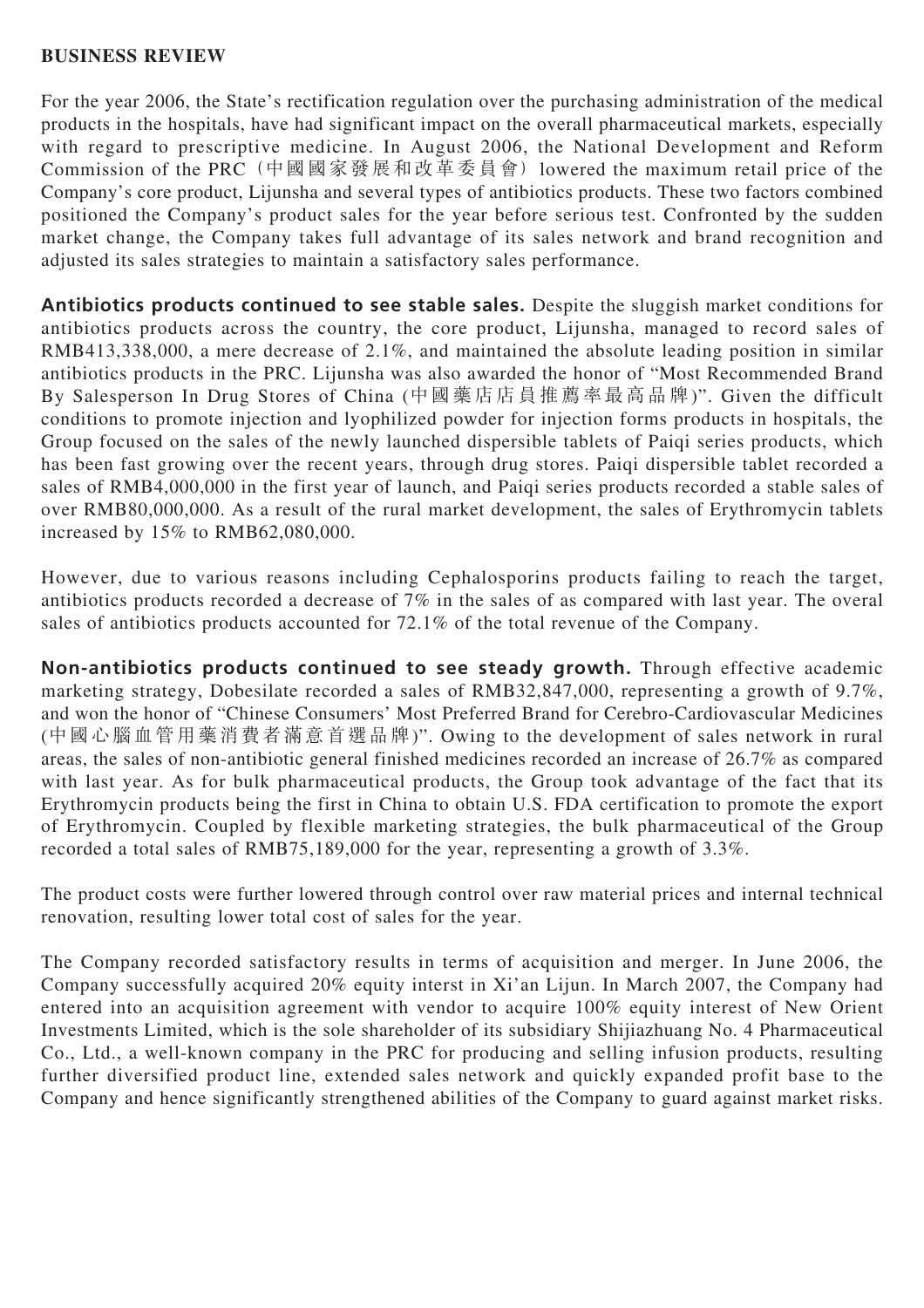## **BUSINESS REVIEW**

For the year 2006, the State's rectification regulation over the purchasing administration of the medical products in the hospitals, have had significant impact on the overall pharmaceutical markets, especially with regard to prescriptive medicine. In August 2006, the National Development and Reform Commission of the PRC (中國國家發展和改革委員會) lowered the maximum retail price of the Company's core product, Lijunsha and several types of antibiotics products. These two factors combined positioned the Company's product sales for the year before serious test. Confronted by the sudden market change, the Company takes full advantage of its sales network and brand recognition and adjusted its sales strategies to maintain a satisfactory sales performance.

**Antibiotics products continued to see stable sales.** Despite the sluggish market conditions for antibiotics products across the country, the core product, Lijunsha, managed to record sales of RMB413,338,000, a mere decrease of 2.1%, and maintained the absolute leading position in similar antibiotics products in the PRC. Lijunsha was also awarded the honor of "Most Recommended Brand By Salesperson In Drug Stores of China (中國藥店店員推薦率最高品牌)". Given the difficult conditions to promote injection and lyophilized powder for injection forms products in hospitals, the Group focused on the sales of the newly launched dispersible tablets of Paiqi series products, which has been fast growing over the recent years, through drug stores. Paiqi dispersible tablet recorded a sales of RMB4,000,000 in the first year of launch, and Paiqi series products recorded a stable sales of over RMB80,000,000. As a result of the rural market development, the sales of Erythromycin tablets increased by 15% to RMB62,080,000.

However, due to various reasons including Cephalosporins products failing to reach the target, antibiotics products recorded a decrease of 7% in the sales of as compared with last year. The overal sales of antibiotics products accounted for 72.1% of the total revenue of the Company.

**Non-antibiotics products continued to see steady growth.** Through effective academic marketing strategy, Dobesilate recorded a sales of RMB32,847,000, representing a growth of 9.7%, and won the honor of "Chinese Consumers' Most Preferred Brand for Cerebro-Cardiovascular Medicines (中國心腦血管用藥消費者滿意首選品牌)". Owing to the development of sales network in rural areas, the sales of non-antibiotic general finished medicines recorded an increase of 26.7% as compared with last year. As for bulk pharmaceutical products, the Group took advantage of the fact that its Erythromycin products being the first in China to obtain U.S. FDA certification to promote the export of Erythromycin. Coupled by flexible marketing strategies, the bulk pharmaceutical of the Group recorded a total sales of RMB75,189,000 for the year, representing a growth of 3.3%.

The product costs were further lowered through control over raw material prices and internal technical renovation, resulting lower total cost of sales for the year.

The Company recorded satisfactory results in terms of acquisition and merger. In June 2006, the Company successfully acquired 20% equity interst in Xi'an Lijun. In March 2007, the Company had entered into an acquisition agreement with vendor to acquire 100% equity interest of New Orient Investments Limited, which is the sole shareholder of its subsidiary Shijiazhuang No. 4 Pharmaceutical Co., Ltd., a well-known company in the PRC for producing and selling infusion products, resulting further diversified product line, extended sales network and quickly expanded profit base to the Company and hence significantly strengthened abilities of the Company to guard against market risks.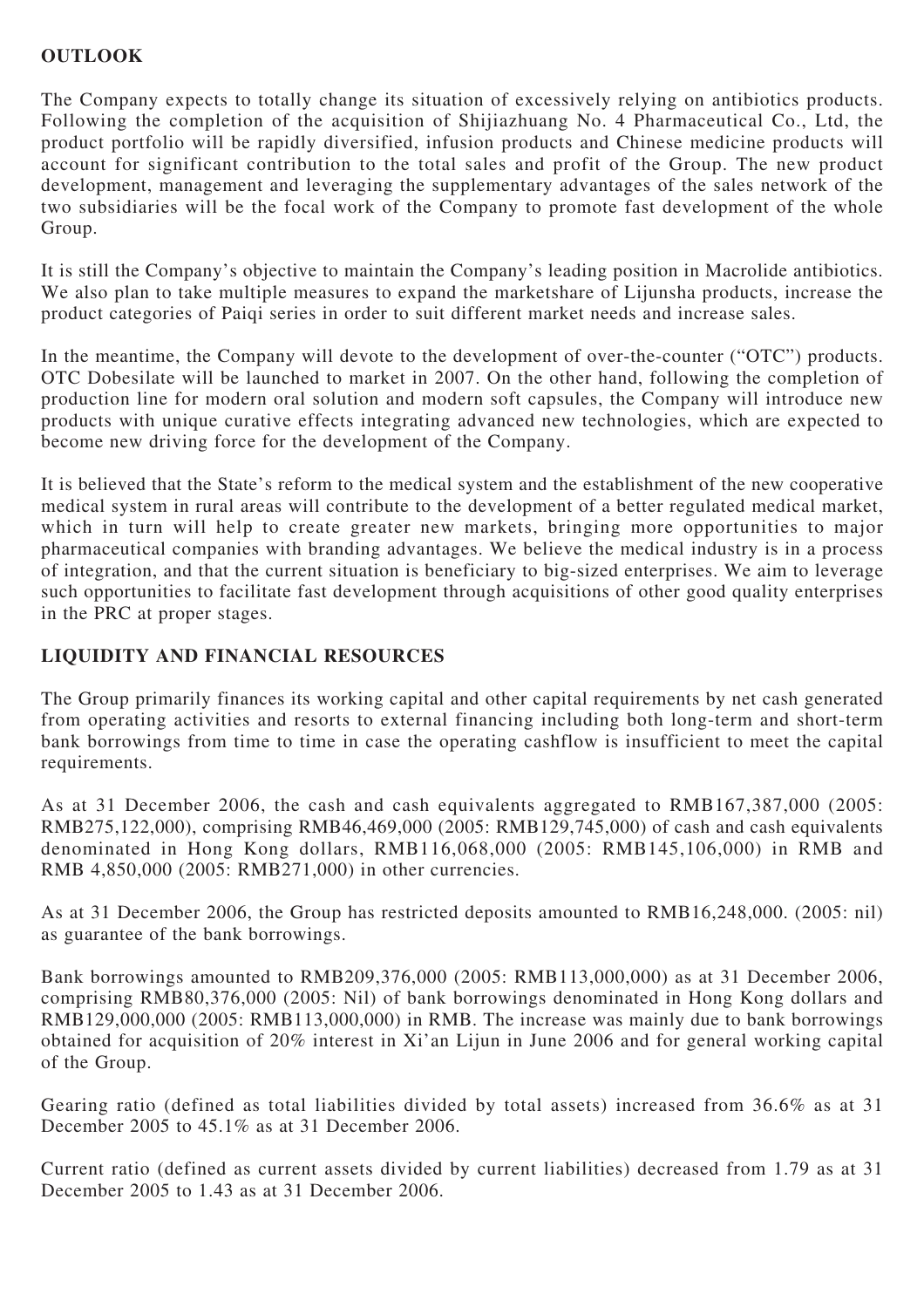## **OUTLOOK**

The Company expects to totally change its situation of excessively relying on antibiotics products. Following the completion of the acquisition of Shijiazhuang No. 4 Pharmaceutical Co., Ltd, the product portfolio will be rapidly diversified, infusion products and Chinese medicine products will account for significant contribution to the total sales and profit of the Group. The new product development, management and leveraging the supplementary advantages of the sales network of the two subsidiaries will be the focal work of the Company to promote fast development of the whole Group.

It is still the Company's objective to maintain the Company's leading position in Macrolide antibiotics. We also plan to take multiple measures to expand the marketshare of Lijunsha products, increase the product categories of Paiqi series in order to suit different market needs and increase sales.

In the meantime, the Company will devote to the development of over-the-counter ("OTC") products. OTC Dobesilate will be launched to market in 2007. On the other hand, following the completion of production line for modern oral solution and modern soft capsules, the Company will introduce new products with unique curative effects integrating advanced new technologies, which are expected to become new driving force for the development of the Company.

It is believed that the State's reform to the medical system and the establishment of the new cooperative medical system in rural areas will contribute to the development of a better regulated medical market, which in turn will help to create greater new markets, bringing more opportunities to major pharmaceutical companies with branding advantages. We believe the medical industry is in a process of integration, and that the current situation is beneficiary to big-sized enterprises. We aim to leverage such opportunities to facilitate fast development through acquisitions of other good quality enterprises in the PRC at proper stages.

## **LIQUIDITY AND FINANCIAL RESOURCES**

The Group primarily finances its working capital and other capital requirements by net cash generated from operating activities and resorts to external financing including both long-term and short-term bank borrowings from time to time in case the operating cashflow is insufficient to meet the capital requirements.

As at 31 December 2006, the cash and cash equivalents aggregated to RMB167,387,000 (2005: RMB275,122,000), comprising RMB46,469,000 (2005: RMB129,745,000) of cash and cash equivalents denominated in Hong Kong dollars, RMB116,068,000 (2005: RMB145,106,000) in RMB and RMB 4,850,000 (2005: RMB271,000) in other currencies.

As at 31 December 2006, the Group has restricted deposits amounted to RMB16,248,000. (2005: nil) as guarantee of the bank borrowings.

Bank borrowings amounted to RMB209,376,000 (2005: RMB113,000,000) as at 31 December 2006, comprising RMB80,376,000 (2005: Nil) of bank borrowings denominated in Hong Kong dollars and RMB129,000,000 (2005: RMB113,000,000) in RMB. The increase was mainly due to bank borrowings obtained for acquisition of 20% interest in Xi'an Lijun in June 2006 and for general working capital of the Group.

Gearing ratio (defined as total liabilities divided by total assets) increased from 36.6% as at 31 December 2005 to 45.1% as at 31 December 2006.

Current ratio (defined as current assets divided by current liabilities) decreased from 1.79 as at 31 December 2005 to 1.43 as at 31 December 2006.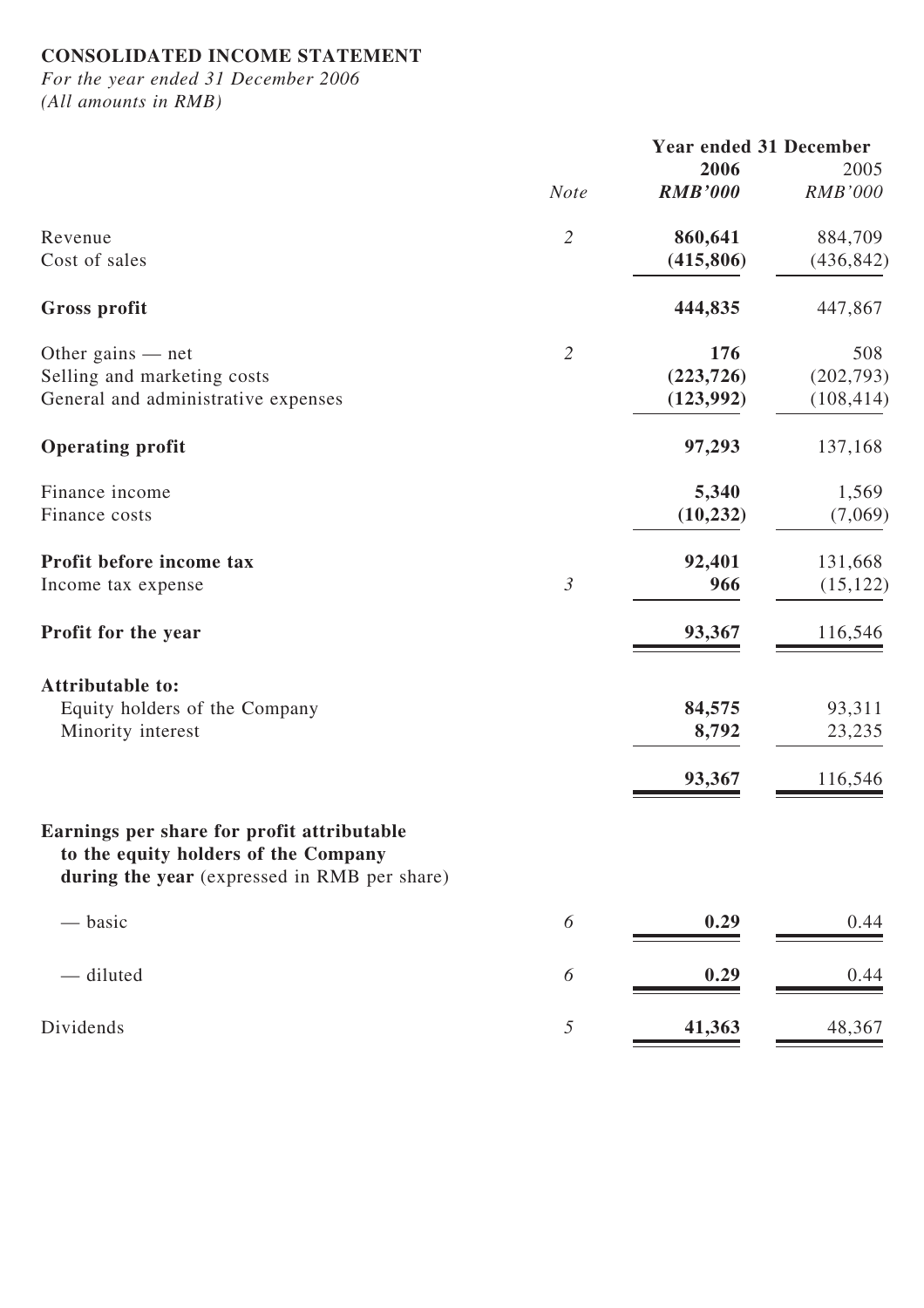# **CONSOLIDATED INCOME STATEMENT**

*For the year ended 31 December 2006 (All amounts in RMB)*

|                                                                                                                                    | <b>Year ended 31 December</b> |                |                |  |
|------------------------------------------------------------------------------------------------------------------------------------|-------------------------------|----------------|----------------|--|
|                                                                                                                                    |                               | 2006           | 2005           |  |
|                                                                                                                                    | <b>Note</b>                   | <b>RMB'000</b> | <b>RMB'000</b> |  |
| Revenue                                                                                                                            | $\overline{2}$                | 860,641        | 884,709        |  |
| Cost of sales                                                                                                                      |                               | (415,806)      | (436, 842)     |  |
| <b>Gross profit</b>                                                                                                                |                               | 444,835        | 447,867        |  |
| Other gains $-$ net                                                                                                                | $\overline{2}$                | 176            | 508            |  |
| Selling and marketing costs                                                                                                        |                               | (223, 726)     | (202, 793)     |  |
| General and administrative expenses                                                                                                |                               | (123, 992)     | (108, 414)     |  |
| <b>Operating profit</b>                                                                                                            |                               | 97,293         | 137,168        |  |
| Finance income                                                                                                                     |                               | 5,340          | 1,569          |  |
| Finance costs                                                                                                                      |                               | (10, 232)      | (7,069)        |  |
| Profit before income tax                                                                                                           |                               | 92,401         | 131,668        |  |
| Income tax expense                                                                                                                 | $\mathfrak{Z}$                | 966            | (15, 122)      |  |
| Profit for the year                                                                                                                |                               | 93,367         | 116,546        |  |
| <b>Attributable to:</b>                                                                                                            |                               |                |                |  |
|                                                                                                                                    |                               | 84,575         | 93,311         |  |
| Equity holders of the Company<br>Minority interest                                                                                 |                               | 8,792          | 23,235         |  |
|                                                                                                                                    |                               | 93,367         | 116,546        |  |
|                                                                                                                                    |                               |                |                |  |
| Earnings per share for profit attributable<br>to the equity holders of the Company<br>during the year (expressed in RMB per share) |                               |                |                |  |
| — basic                                                                                                                            | 6                             | 0.29           | 0.44           |  |
| - diluted                                                                                                                          | 6                             | 0.29           | 0.44           |  |
| Dividends                                                                                                                          | $\mathfrak{I}$                | 41,363         | 48,367         |  |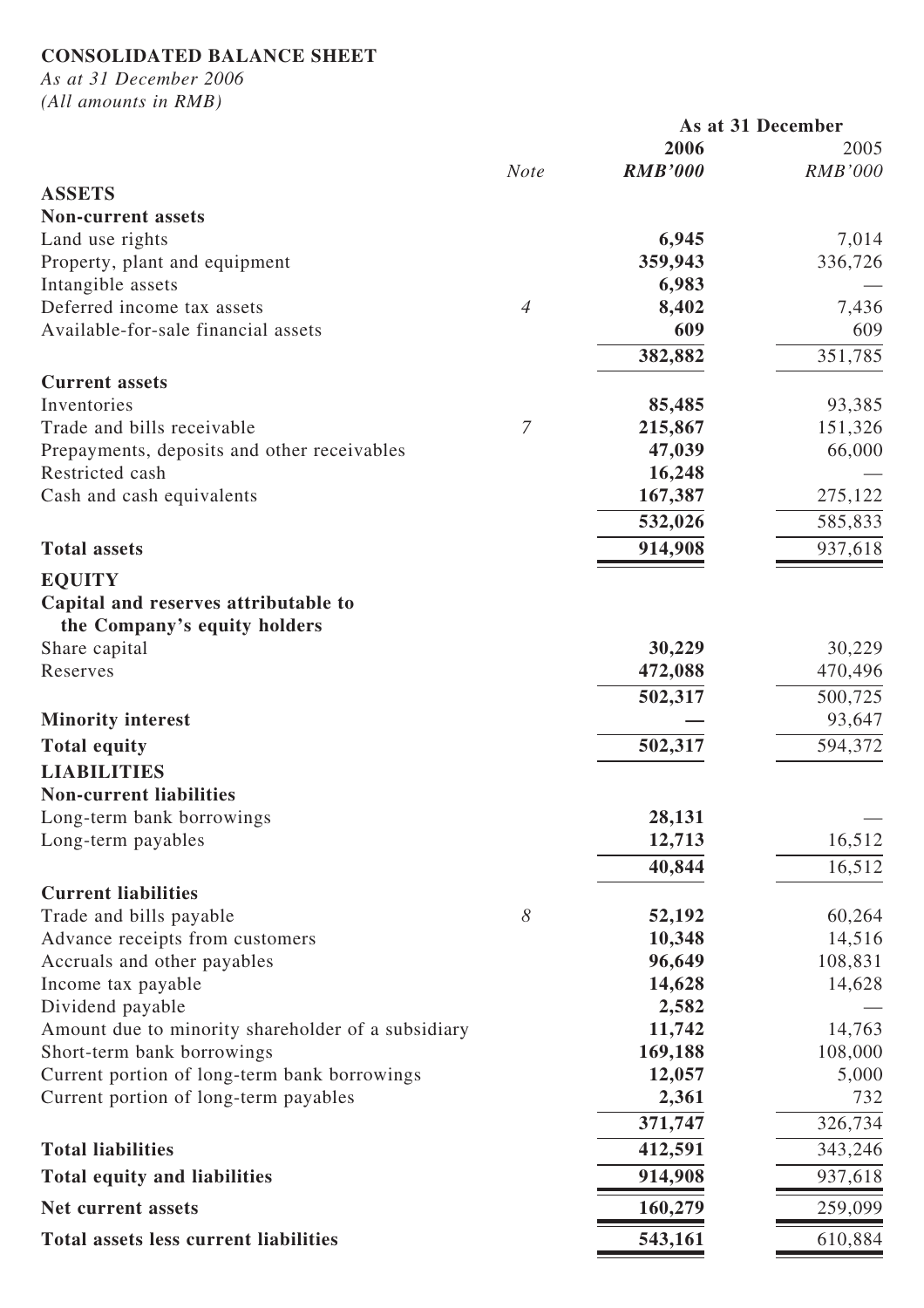# **CONSOLIDATED BALANCE SHEET**

*As at 31 December 2006*

*(All amounts in RMB)*

|                                                       |                |                | As at 31 December |  |
|-------------------------------------------------------|----------------|----------------|-------------------|--|
|                                                       |                | 2006           | 2005              |  |
|                                                       | <b>Note</b>    | <b>RMB'000</b> | <b>RMB'000</b>    |  |
| <b>ASSETS</b>                                         |                |                |                   |  |
| <b>Non-current assets</b>                             |                |                |                   |  |
| Land use rights                                       |                | 6,945          | 7,014             |  |
| Property, plant and equipment                         |                | 359,943        | 336,726           |  |
| Intangible assets                                     |                | 6,983          |                   |  |
| Deferred income tax assets                            | $\overline{4}$ | 8,402          | 7,436             |  |
| Available-for-sale financial assets                   |                | 609            | 609               |  |
|                                                       |                | 382,882        | 351,785           |  |
| <b>Current assets</b>                                 |                |                |                   |  |
| Inventories                                           |                | 85,485         | 93,385            |  |
| Trade and bills receivable                            | 7              | 215,867        | 151,326           |  |
| Prepayments, deposits and other receivables           |                | 47,039         | 66,000            |  |
| Restricted cash                                       |                | 16,248         |                   |  |
| Cash and cash equivalents                             |                | 167,387        | 275,122           |  |
|                                                       |                | 532,026        | 585,833           |  |
| <b>Total assets</b>                                   |                | 914,908        | 937,618           |  |
| <b>EQUITY</b>                                         |                |                |                   |  |
| Capital and reserves attributable to                  |                |                |                   |  |
| the Company's equity holders                          |                |                |                   |  |
| Share capital                                         |                | 30,229         | 30,229            |  |
| Reserves                                              |                | 472,088        | 470,496           |  |
|                                                       |                | 502,317        | 500,725           |  |
| <b>Minority interest</b>                              |                |                | 93,647            |  |
| <b>Total equity</b>                                   |                | 502,317        | 594,372           |  |
| <b>LIABILITIES</b>                                    |                |                |                   |  |
| <b>Non-current liabilities</b>                        |                |                |                   |  |
| Long-term bank borrowings                             |                | 28,131         |                   |  |
| Long-term payables                                    |                | 12,713         | 16,512            |  |
|                                                       |                | 40,844         | 16,512            |  |
|                                                       |                |                |                   |  |
| <b>Current liabilities</b><br>Trade and bills payable | 8              | 52,192         | 60,264            |  |
| Advance receipts from customers                       |                | 10,348         | 14,516            |  |
| Accruals and other payables                           |                | 96,649         | 108,831           |  |
| Income tax payable                                    |                | 14,628         | 14,628            |  |
| Dividend payable                                      |                | 2,582          |                   |  |
| Amount due to minority shareholder of a subsidiary    |                | 11,742         | 14,763            |  |
| Short-term bank borrowings                            |                | 169,188        | 108,000           |  |
| Current portion of long-term bank borrowings          |                | 12,057         | 5,000             |  |
| Current portion of long-term payables                 |                | 2,361          | 732               |  |
|                                                       |                | 371,747        | 326,734           |  |
| <b>Total liabilities</b>                              |                | 412,591        | 343,246           |  |
| <b>Total equity and liabilities</b>                   |                | 914,908        | 937,618           |  |
|                                                       |                |                |                   |  |
| Net current assets                                    |                | 160,279        | 259,099           |  |
| Total assets less current liabilities                 |                | 543,161        | 610,884           |  |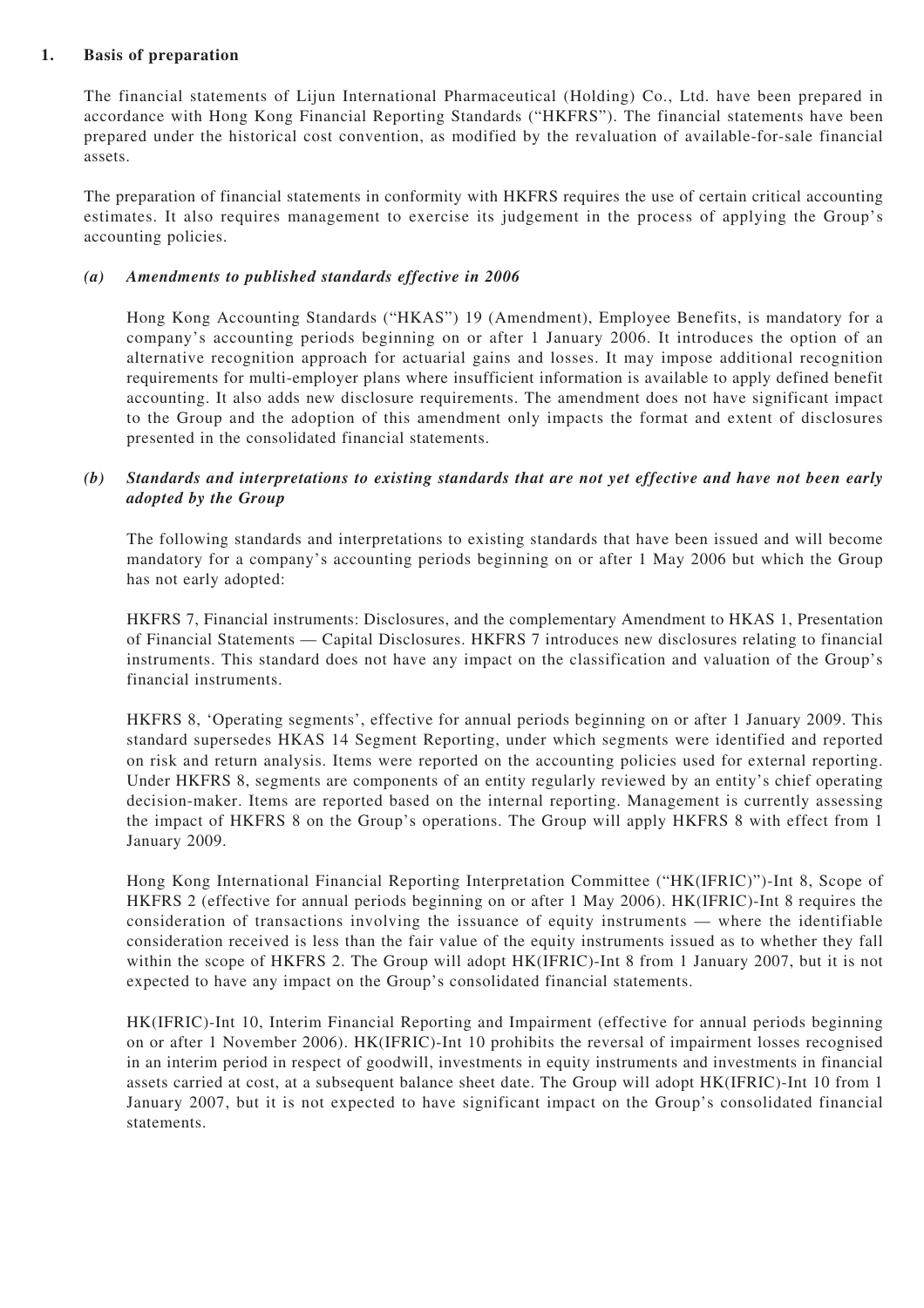#### **1. Basis of preparation**

The financial statements of Lijun International Pharmaceutical (Holding) Co., Ltd. have been prepared in accordance with Hong Kong Financial Reporting Standards ("HKFRS"). The financial statements have been prepared under the historical cost convention, as modified by the revaluation of available-for-sale financial assets.

The preparation of financial statements in conformity with HKFRS requires the use of certain critical accounting estimates. It also requires management to exercise its judgement in the process of applying the Group's accounting policies.

#### *(a) Amendments to published standards effective in 2006*

Hong Kong Accounting Standards ("HKAS") 19 (Amendment), Employee Benefits, is mandatory for a company's accounting periods beginning on or after 1 January 2006. It introduces the option of an alternative recognition approach for actuarial gains and losses. It may impose additional recognition requirements for multi-employer plans where insufficient information is available to apply defined benefit accounting. It also adds new disclosure requirements. The amendment does not have significant impact to the Group and the adoption of this amendment only impacts the format and extent of disclosures presented in the consolidated financial statements.

#### *(b) Standards and interpretations to existing standards that are not yet effective and have not been early adopted by the Group*

The following standards and interpretations to existing standards that have been issued and will become mandatory for a company's accounting periods beginning on or after 1 May 2006 but which the Group has not early adopted:

HKFRS 7, Financial instruments: Disclosures, and the complementary Amendment to HKAS 1, Presentation of Financial Statements — Capital Disclosures. HKFRS 7 introduces new disclosures relating to financial instruments. This standard does not have any impact on the classification and valuation of the Group's financial instruments.

HKFRS 8, 'Operating segments', effective for annual periods beginning on or after 1 January 2009. This standard supersedes HKAS 14 Segment Reporting, under which segments were identified and reported on risk and return analysis. Items were reported on the accounting policies used for external reporting. Under HKFRS 8, segments are components of an entity regularly reviewed by an entity's chief operating decision-maker. Items are reported based on the internal reporting. Management is currently assessing the impact of HKFRS 8 on the Group's operations. The Group will apply HKFRS 8 with effect from 1 January 2009.

Hong Kong International Financial Reporting Interpretation Committee ("HK(IFRIC)")-Int 8, Scope of HKFRS 2 (effective for annual periods beginning on or after 1 May 2006). HK(IFRIC)-Int 8 requires the consideration of transactions involving the issuance of equity instruments — where the identifiable consideration received is less than the fair value of the equity instruments issued as to whether they fall within the scope of HKFRS 2. The Group will adopt HK(IFRIC)-Int 8 from 1 January 2007, but it is not expected to have any impact on the Group's consolidated financial statements.

HK(IFRIC)-Int 10, Interim Financial Reporting and Impairment (effective for annual periods beginning on or after 1 November 2006). HK(IFRIC)-Int 10 prohibits the reversal of impairment losses recognised in an interim period in respect of goodwill, investments in equity instruments and investments in financial assets carried at cost, at a subsequent balance sheet date. The Group will adopt HK(IFRIC)-Int 10 from 1 January 2007, but it is not expected to have significant impact on the Group's consolidated financial statements.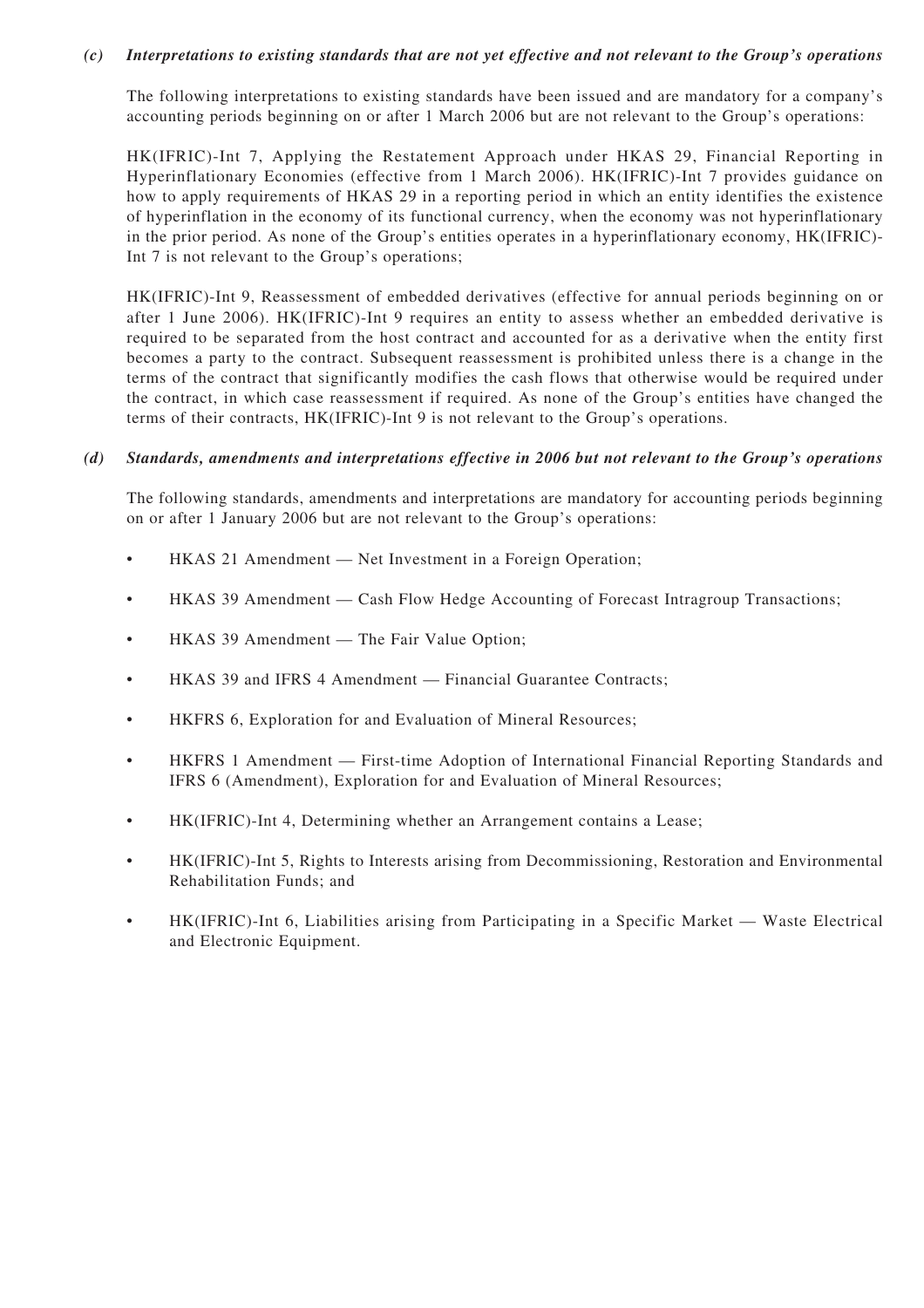#### *(c) Interpretations to existing standards that are not yet effective and not relevant to the Group's operations*

The following interpretations to existing standards have been issued and are mandatory for a company's accounting periods beginning on or after 1 March 2006 but are not relevant to the Group's operations:

HK(IFRIC)-Int 7, Applying the Restatement Approach under HKAS 29, Financial Reporting in Hyperinflationary Economies (effective from 1 March 2006). HK(IFRIC)-Int 7 provides guidance on how to apply requirements of HKAS 29 in a reporting period in which an entity identifies the existence of hyperinflation in the economy of its functional currency, when the economy was not hyperinflationary in the prior period. As none of the Group's entities operates in a hyperinflationary economy, HK(IFRIC)- Int 7 is not relevant to the Group's operations;

HK(IFRIC)-Int 9, Reassessment of embedded derivatives (effective for annual periods beginning on or after 1 June 2006). HK(IFRIC)-Int 9 requires an entity to assess whether an embedded derivative is required to be separated from the host contract and accounted for as a derivative when the entity first becomes a party to the contract. Subsequent reassessment is prohibited unless there is a change in the terms of the contract that significantly modifies the cash flows that otherwise would be required under the contract, in which case reassessment if required. As none of the Group's entities have changed the terms of their contracts, HK(IFRIC)-Int 9 is not relevant to the Group's operations.

#### *(d) Standards, amendments and interpretations effective in 2006 but not relevant to the Group's operations*

The following standards, amendments and interpretations are mandatory for accounting periods beginning on or after 1 January 2006 but are not relevant to the Group's operations:

- HKAS 21 Amendment Net Investment in a Foreign Operation;
- HKAS 39 Amendment Cash Flow Hedge Accounting of Forecast Intragroup Transactions;
- HKAS 39 Amendment The Fair Value Option;
- HKAS 39 and IFRS 4 Amendment Financial Guarantee Contracts;
- HKFRS 6, Exploration for and Evaluation of Mineral Resources;
- HKFRS 1 Amendment First-time Adoption of International Financial Reporting Standards and IFRS 6 (Amendment), Exploration for and Evaluation of Mineral Resources;
- HK(IFRIC)-Int 4, Determining whether an Arrangement contains a Lease;
- HK(IFRIC)-Int 5, Rights to Interests arising from Decommissioning, Restoration and Environmental Rehabilitation Funds; and
- HK(IFRIC)-Int 6, Liabilities arising from Participating in a Specific Market Waste Electrical and Electronic Equipment.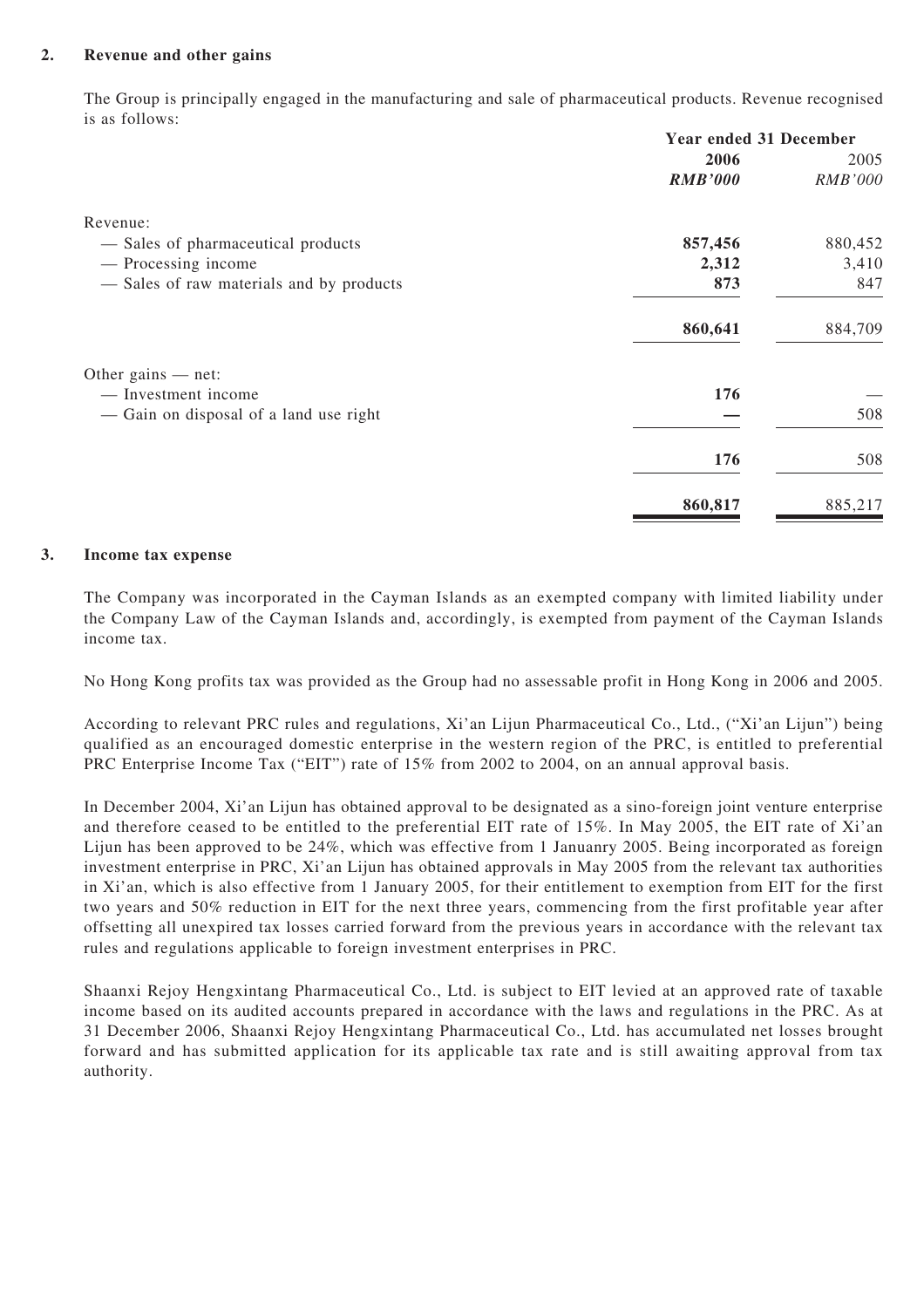#### **2. Revenue and other gains**

The Group is principally engaged in the manufacturing and sale of pharmaceutical products. Revenue recognised is as follows:

|                                          | <b>Year ended 31 December</b> |                |  |
|------------------------------------------|-------------------------------|----------------|--|
|                                          | 2006                          | 2005           |  |
|                                          | <b>RMB'000</b>                | <b>RMB'000</b> |  |
| Revenue:                                 |                               |                |  |
| - Sales of pharmaceutical products       | 857,456                       | 880,452        |  |
| — Processing income                      | 2,312                         | 3,410          |  |
| - Sales of raw materials and by products | 873                           | 847            |  |
|                                          | 860,641                       | 884,709        |  |
| Other gains $-$ net:                     |                               |                |  |
| - Investment income                      | 176                           |                |  |
| — Gain on disposal of a land use right   |                               | 508            |  |
|                                          | 176                           | 508            |  |
|                                          | 860,817                       | 885,217        |  |

#### **3. Income tax expense**

The Company was incorporated in the Cayman Islands as an exempted company with limited liability under the Company Law of the Cayman Islands and, accordingly, is exempted from payment of the Cayman Islands income tax.

No Hong Kong profits tax was provided as the Group had no assessable profit in Hong Kong in 2006 and 2005.

According to relevant PRC rules and regulations, Xi'an Lijun Pharmaceutical Co., Ltd., ("Xi'an Lijun") being qualified as an encouraged domestic enterprise in the western region of the PRC, is entitled to preferential PRC Enterprise Income Tax ("EIT") rate of 15% from 2002 to 2004, on an annual approval basis.

In December 2004, Xi'an Lijun has obtained approval to be designated as a sino-foreign joint venture enterprise and therefore ceased to be entitled to the preferential EIT rate of 15%. In May 2005, the EIT rate of Xi'an Lijun has been approved to be 24%, which was effective from 1 Januanry 2005. Being incorporated as foreign investment enterprise in PRC, Xi'an Lijun has obtained approvals in May 2005 from the relevant tax authorities in Xi'an, which is also effective from 1 January 2005, for their entitlement to exemption from EIT for the first two years and 50% reduction in EIT for the next three years, commencing from the first profitable year after offsetting all unexpired tax losses carried forward from the previous years in accordance with the relevant tax rules and regulations applicable to foreign investment enterprises in PRC.

Shaanxi Rejoy Hengxintang Pharmaceutical Co., Ltd. is subject to EIT levied at an approved rate of taxable income based on its audited accounts prepared in accordance with the laws and regulations in the PRC. As at 31 December 2006, Shaanxi Rejoy Hengxintang Pharmaceutical Co., Ltd. has accumulated net losses brought forward and has submitted application for its applicable tax rate and is still awaiting approval from tax authority.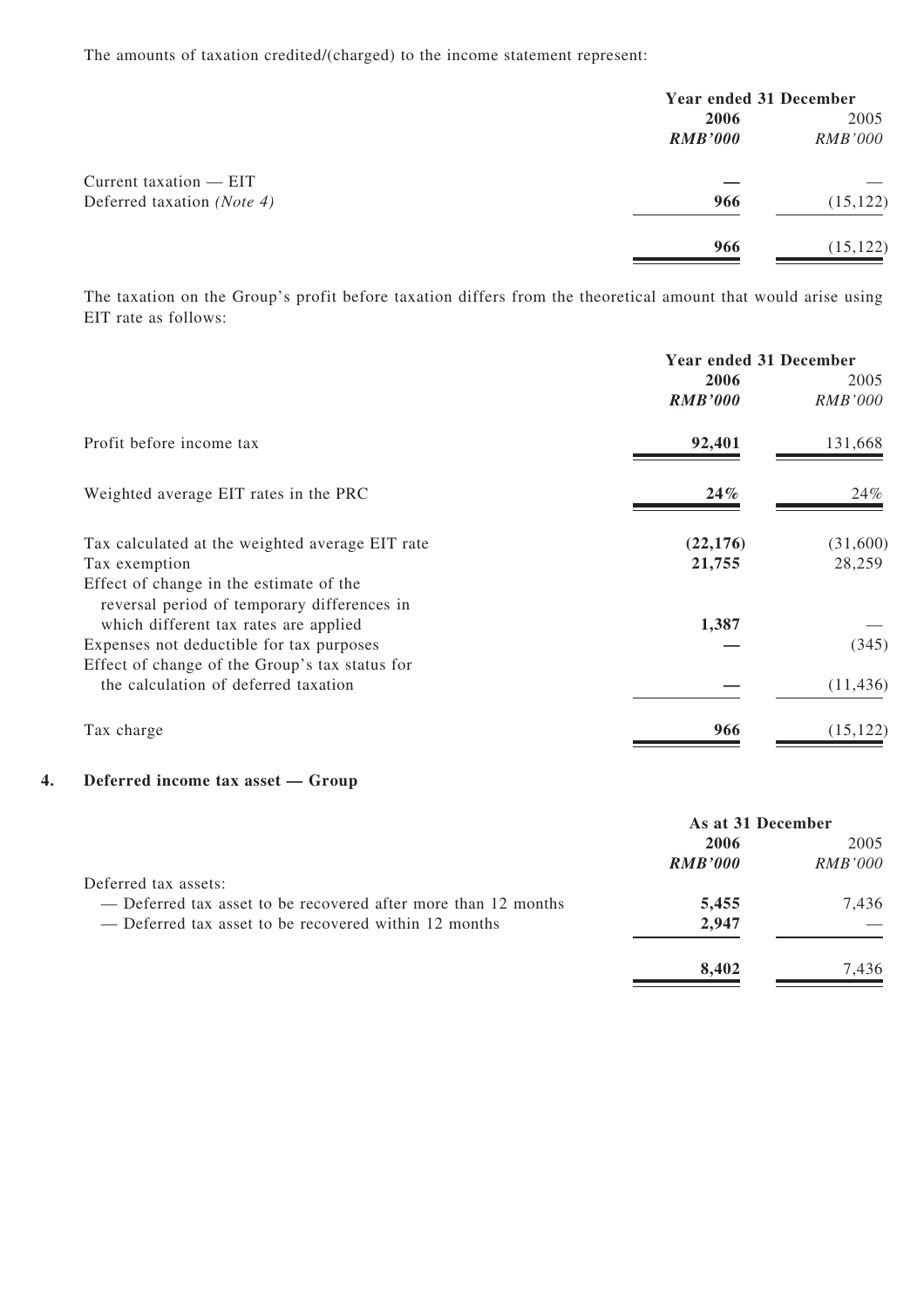The amounts of taxation credited/(charged) to the income statement represent:

|                            | <b>Year ended 31 December</b> |                |
|----------------------------|-------------------------------|----------------|
|                            | 2006                          | 2005           |
|                            | <b>RMB'000</b>                | <i>RMB'000</i> |
| Current taxation $-$ EIT   |                               |                |
| Deferred taxation (Note 4) | 966                           | (15, 122)      |
|                            | 966                           | (15, 122)      |

The taxation on the Group's profit before taxation differs from the theoretical amount that would arise using EIT rate as follows:

|                                                                                        | <b>Year ended 31 December</b> |                |
|----------------------------------------------------------------------------------------|-------------------------------|----------------|
|                                                                                        | 2006                          | 2005           |
|                                                                                        | <b>RMB'000</b>                | <i>RMB'000</i> |
| Profit before income tax                                                               | 92,401                        | 131,668        |
| Weighted average EIT rates in the PRC                                                  | $24\%$                        | 24%            |
| Tax calculated at the weighted average EIT rate                                        | (22, 176)                     | (31,600)       |
| Tax exemption                                                                          | 21,755                        | 28,259         |
| Effect of change in the estimate of the<br>reversal period of temporary differences in |                               |                |
| which different tax rates are applied                                                  | 1,387                         |                |
| Expenses not deductible for tax purposes                                               |                               | (345)          |
| Effect of change of the Group's tax status for                                         |                               |                |
| the calculation of deferred taxation                                                   |                               | (11, 436)      |
| Tax charge                                                                             | 966                           | (15, 122)      |

#### **4. Deferred income tax asset — Group**

|                                                                | As at 31 December |         |
|----------------------------------------------------------------|-------------------|---------|
|                                                                | 2006              | 2005    |
|                                                                | <b>RMB'000</b>    | RMB'000 |
| Deferred tax assets:                                           |                   |         |
| — Deferred tax asset to be recovered after more than 12 months | 5,455             | 7.436   |
| — Deferred tax asset to be recovered within 12 months          | 2,947             |         |
|                                                                | 8.402             | 7.436   |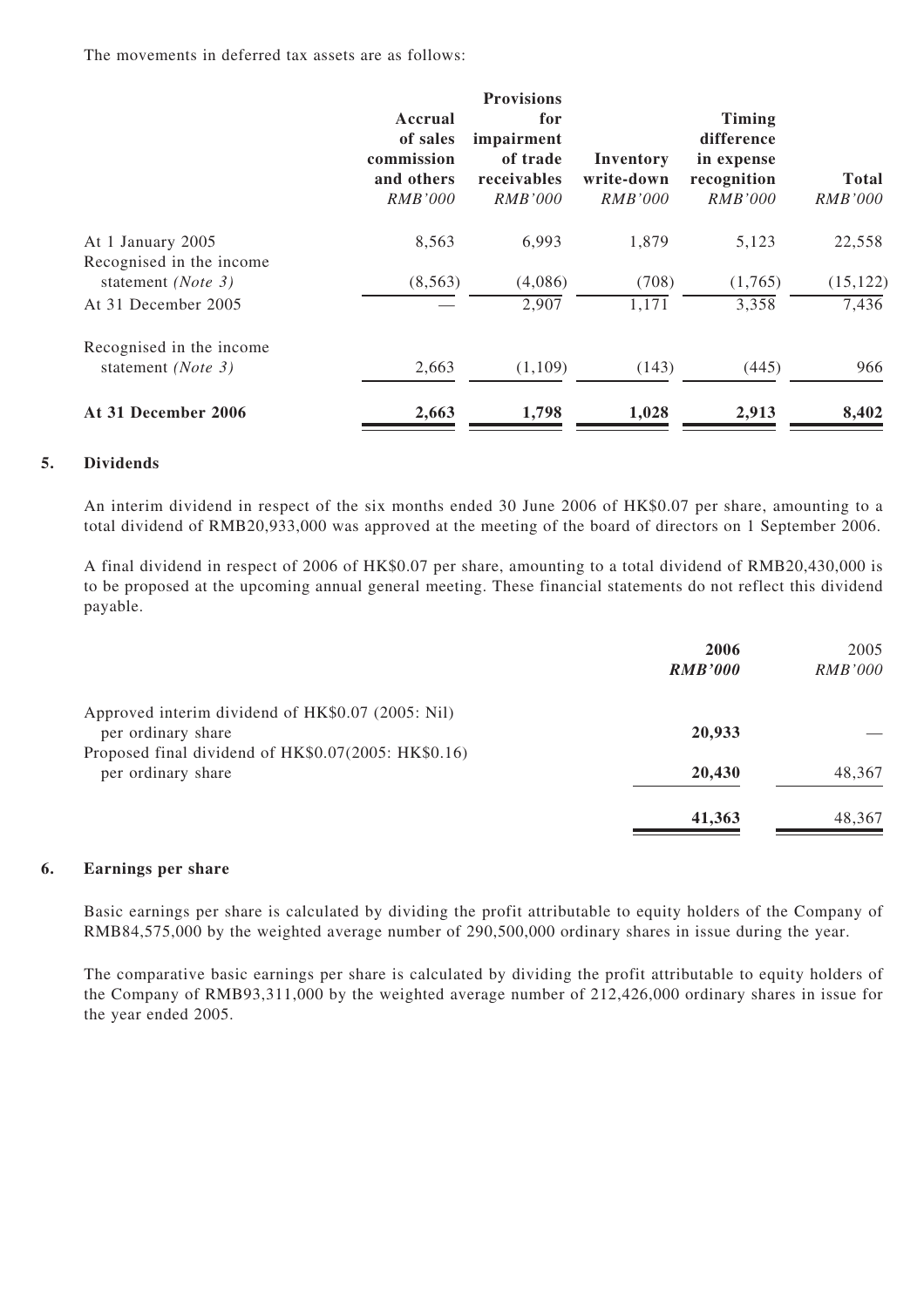The movements in deferred tax assets are as follows:

|                                                |                                                                   | <b>Provisions</b>                                              |                                           |                                                                            |                                |
|------------------------------------------------|-------------------------------------------------------------------|----------------------------------------------------------------|-------------------------------------------|----------------------------------------------------------------------------|--------------------------------|
|                                                | Accrual<br>of sales<br>commission<br>and others<br><i>RMB'000</i> | for<br>impairment<br>of trade<br>receivables<br><i>RMB'000</i> | Inventory<br>write-down<br><i>RMB'000</i> | <b>Timing</b><br>difference<br>in expense<br>recognition<br><i>RMB'000</i> | <b>Total</b><br><i>RMB'000</i> |
| At 1 January 2005<br>Recognised in the income  | 8,563                                                             | 6,993                                                          | 1,879                                     | 5,123                                                                      | 22,558                         |
| statement (Note 3)                             | (8, 563)                                                          | (4,086)                                                        | (708)                                     | (1,765)                                                                    | (15, 122)                      |
| At 31 December 2005                            |                                                                   | 2,907                                                          | 1,171                                     | 3,358                                                                      | 7,436                          |
| Recognised in the income<br>statement (Note 3) | 2,663                                                             | (1,109)                                                        | (143)                                     | (445)                                                                      | 966                            |
| At 31 December 2006                            | 2,663                                                             | 1,798                                                          | 1,028                                     | 2,913                                                                      | 8,402                          |

#### **5. Dividends**

An interim dividend in respect of the six months ended 30 June 2006 of HK\$0.07 per share, amounting to a total dividend of RMB20,933,000 was approved at the meeting of the board of directors on 1 September 2006.

A final dividend in respect of 2006 of HK\$0.07 per share, amounting to a total dividend of RMB20,430,000 is to be proposed at the upcoming annual general meeting. These financial statements do not reflect this dividend payable.

|                                                                           | 2006<br><b>RMB'000</b> | 2005<br><i>RMB'000</i> |
|---------------------------------------------------------------------------|------------------------|------------------------|
| Approved interim dividend of HK\$0.07 (2005: Nil)<br>per ordinary share   | 20,933                 |                        |
| Proposed final dividend of HK\$0.07(2005: HK\$0.16)<br>per ordinary share | 20,430                 | 48,367                 |
|                                                                           | 41,363                 | 48,367                 |

#### **6. Earnings per share**

Basic earnings per share is calculated by dividing the profit attributable to equity holders of the Company of RMB84,575,000 by the weighted average number of 290,500,000 ordinary shares in issue during the year.

The comparative basic earnings per share is calculated by dividing the profit attributable to equity holders of the Company of RMB93,311,000 by the weighted average number of 212,426,000 ordinary shares in issue for the year ended 2005.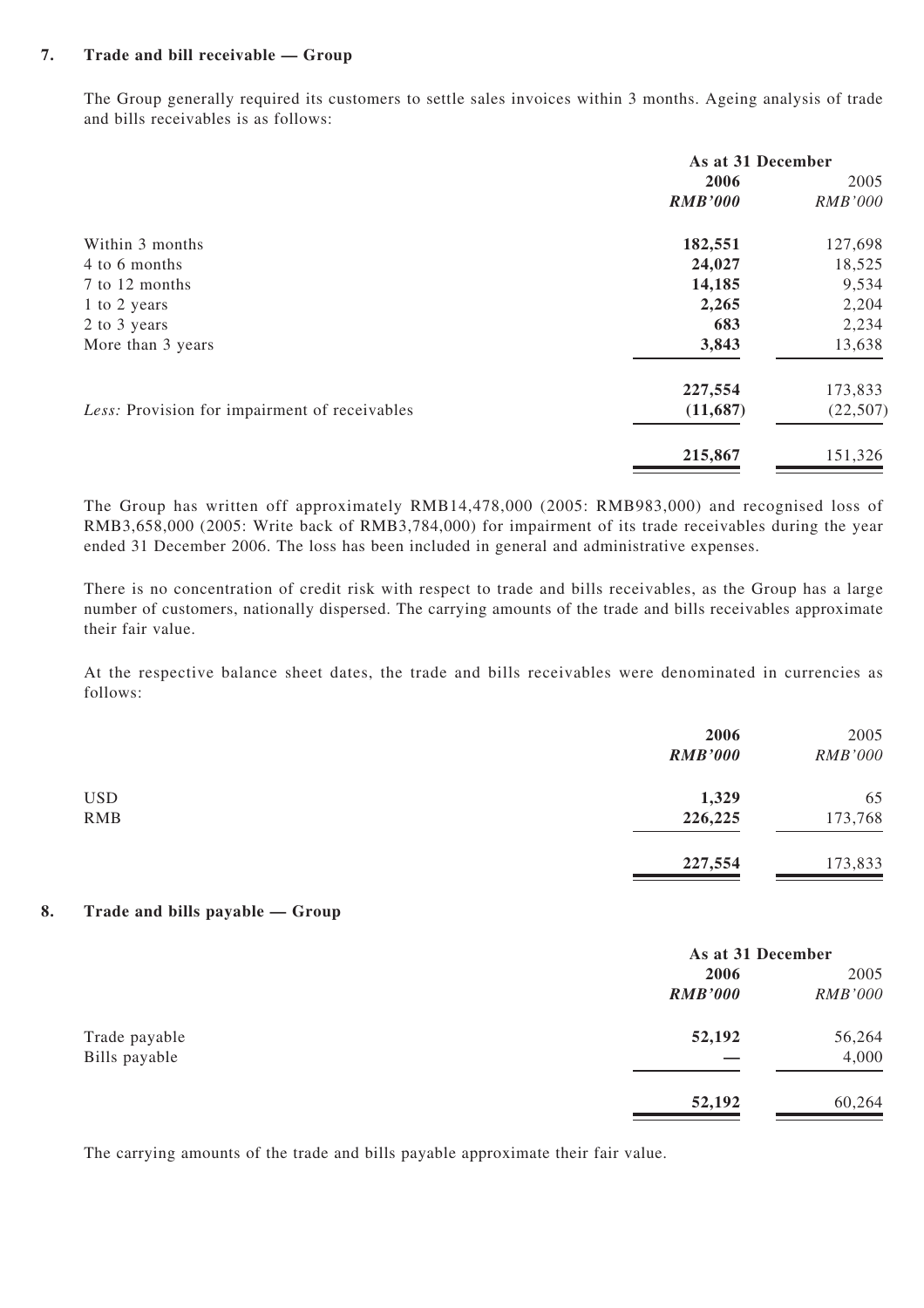#### **7. Trade and bill receivable — Group**

The Group generally required its customers to settle sales invoices within 3 months. Ageing analysis of trade and bills receivables is as follows:

|                                               | As at 31 December |                |  |
|-----------------------------------------------|-------------------|----------------|--|
|                                               | 2006              | 2005           |  |
|                                               | <b>RMB'000</b>    | <b>RMB'000</b> |  |
| Within 3 months                               | 182,551           | 127,698        |  |
| 4 to 6 months                                 | 24,027            | 18,525         |  |
| 7 to 12 months                                | 14,185            | 9,534          |  |
| 1 to 2 years                                  | 2,265             | 2,204          |  |
| 2 to 3 years                                  | 683               | 2,234          |  |
| More than 3 years                             | 3,843             | 13,638         |  |
|                                               | 227,554           | 173,833        |  |
| Less: Provision for impairment of receivables | (11,687)          | (22, 507)      |  |
|                                               | 215,867           | 151,326        |  |

The Group has written off approximately RMB14,478,000 (2005: RMB983,000) and recognised loss of RMB3,658,000 (2005: Write back of RMB3,784,000) for impairment of its trade receivables during the year ended 31 December 2006. The loss has been included in general and administrative expenses.

There is no concentration of credit risk with respect to trade and bills receivables, as the Group has a large number of customers, nationally dispersed. The carrying amounts of the trade and bills receivables approximate their fair value.

At the respective balance sheet dates, the trade and bills receivables were denominated in currencies as follows:

|            | 2006<br><b>RMB'000</b> | 2005<br><b>RMB'000</b> |
|------------|------------------------|------------------------|
| <b>USD</b> | 1,329                  | 65                     |
| RMB        | 226,225                | 173,768                |
|            | 227,554                | 173,833                |

#### **8. Trade and bills payable — Group**

|                                |                | As at 31 December |  |
|--------------------------------|----------------|-------------------|--|
|                                | 2006           | 2005              |  |
|                                | <b>RMB'000</b> | <b>RMB'000</b>    |  |
| Trade payable<br>Bills payable | 52,192         | 56,264            |  |
|                                |                | 4,000             |  |
|                                | 52,192         | 60,264            |  |

The carrying amounts of the trade and bills payable approximate their fair value.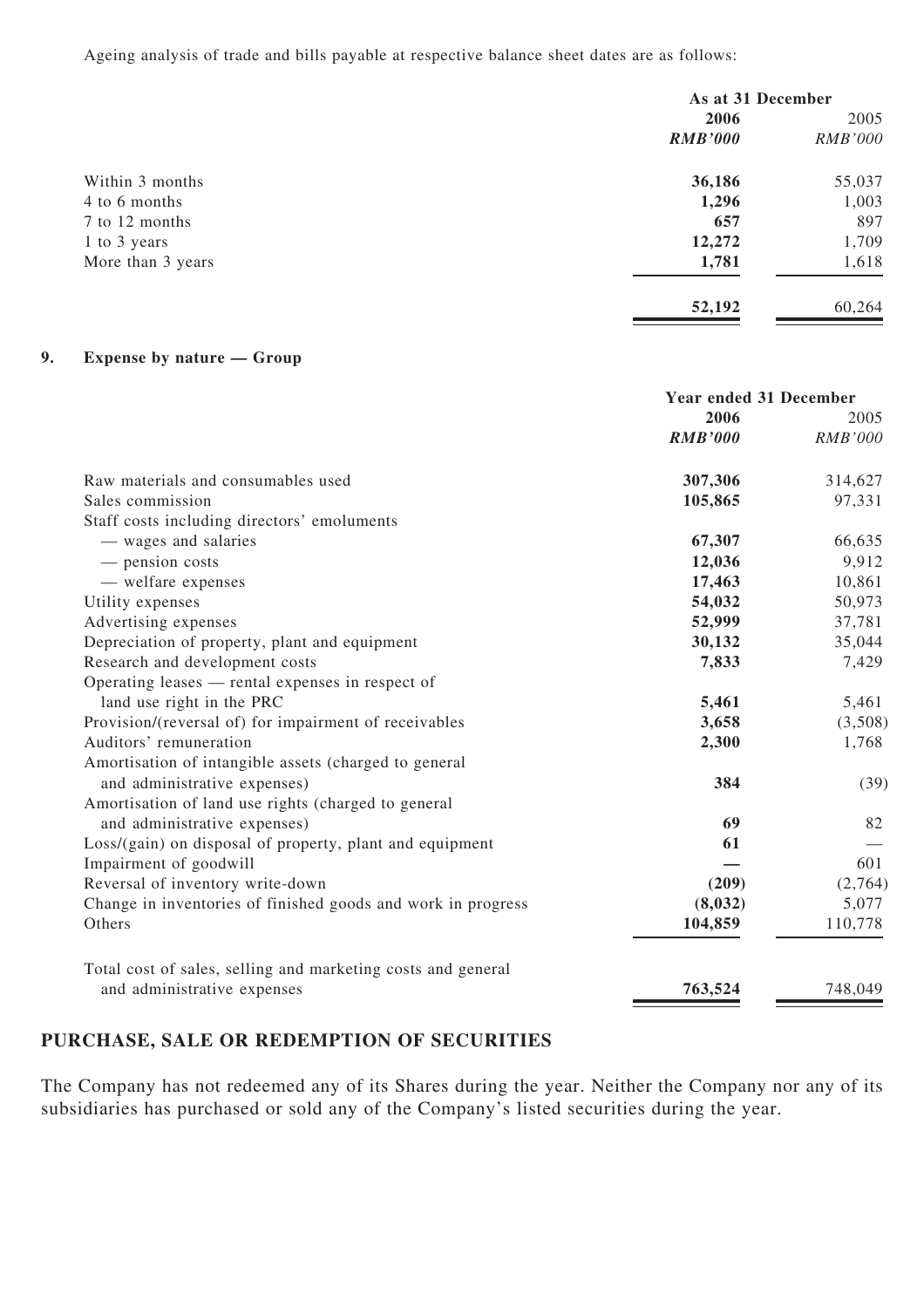Ageing analysis of trade and bills payable at respective balance sheet dates are as follows:

|                   | As at 31 December |                |
|-------------------|-------------------|----------------|
|                   | 2006              | 2005           |
|                   | <b>RMB'000</b>    | <i>RMB'000</i> |
| Within 3 months   | 36,186            | 55,037         |
| 4 to 6 months     | 1,296             | 1,003          |
| 7 to 12 months    | 657               | 897            |
| 1 to 3 years      | 12,272            | 1,709          |
| More than 3 years | 1,781             | 1,618          |
|                   | 52,192            | 60,264         |

#### **9. Expense by nature — Group**

|                                                              | <b>Year ended 31 December</b> |                        |
|--------------------------------------------------------------|-------------------------------|------------------------|
|                                                              | 2006<br><b>RMB'000</b>        | 2005<br><b>RMB'000</b> |
|                                                              |                               |                        |
| Raw materials and consumables used                           | 307,306                       | 314,627                |
| Sales commission                                             | 105,865                       | 97,331                 |
| Staff costs including directors' emoluments                  |                               |                        |
| — wages and salaries                                         | 67,307                        | 66,635                 |
| - pension costs                                              | 12,036                        | 9,912                  |
| — welfare expenses                                           | 17,463                        | 10,861                 |
| Utility expenses                                             | 54,032                        | 50,973                 |
| Advertising expenses                                         | 52,999                        | 37,781                 |
| Depreciation of property, plant and equipment                | 30,132                        | 35,044                 |
| Research and development costs                               | 7,833                         | 7,429                  |
| Operating leases — rental expenses in respect of             |                               |                        |
| land use right in the PRC                                    | 5,461                         | 5,461                  |
| Provision/(reversal of) for impairment of receivables        | 3,658                         | (3,508)                |
| Auditors' remuneration                                       | 2,300                         | 1,768                  |
| Amortisation of intangible assets (charged to general        |                               |                        |
| and administrative expenses)                                 | 384                           | (39)                   |
| Amortisation of land use rights (charged to general          |                               |                        |
| and administrative expenses)                                 | 69                            | 82                     |
| Loss/(gain) on disposal of property, plant and equipment     | 61                            |                        |
| Impairment of goodwill                                       |                               | 601                    |
| Reversal of inventory write-down                             | (209)                         | (2,764)                |
| Change in inventories of finished goods and work in progress | (8,032)                       | 5,077                  |
| Others                                                       | 104,859                       | 110,778                |
| Total cost of sales, selling and marketing costs and general |                               |                        |
| and administrative expenses                                  | 763,524                       | 748,049                |

## **PURCHASE, SALE OR REDEMPTION OF SECURITIES**

The Company has not redeemed any of its Shares during the year. Neither the Company nor any of its subsidiaries has purchased or sold any of the Company's listed securities during the year.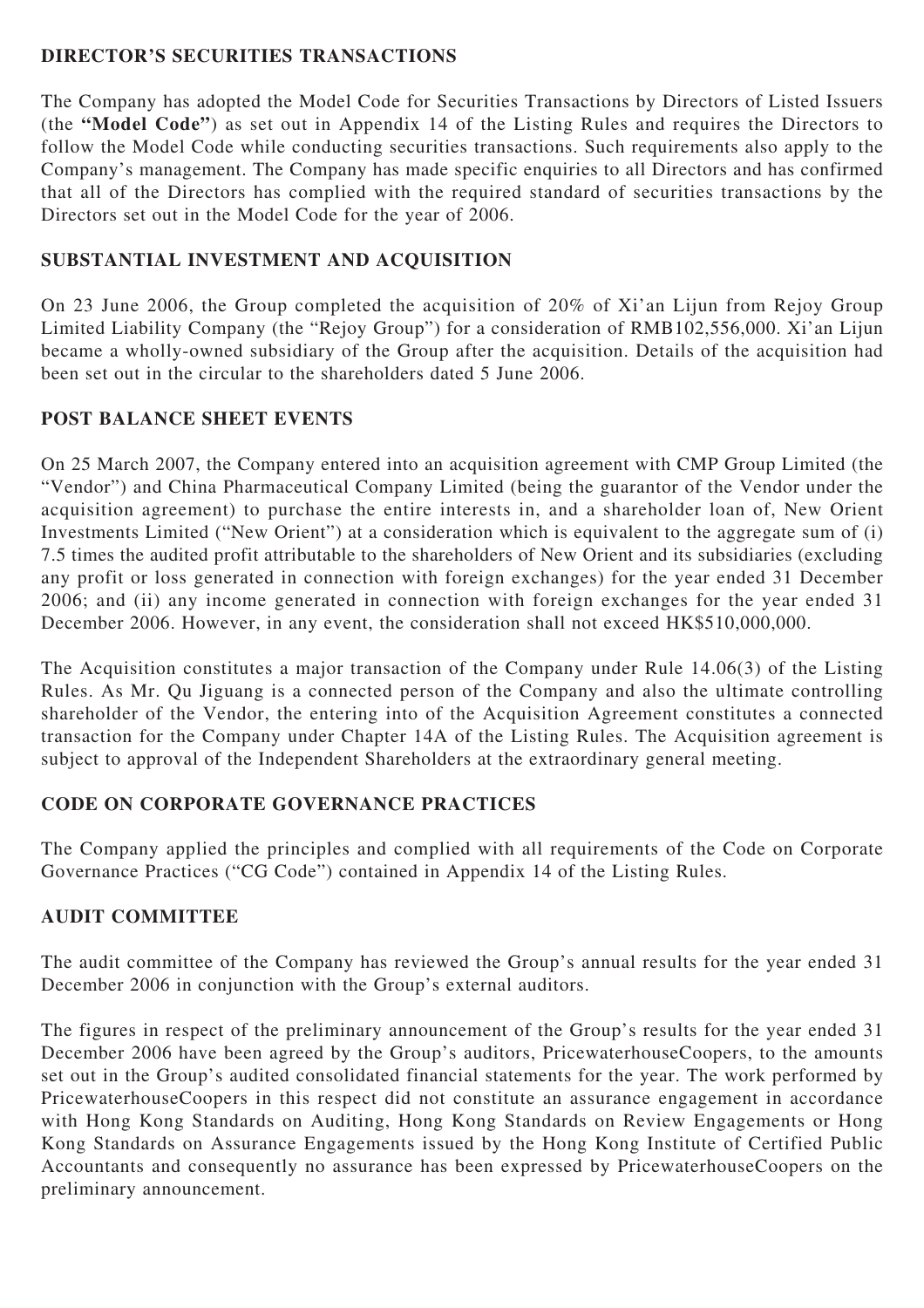## **DIRECTOR'S SECURITIES TRANSACTIONS**

The Company has adopted the Model Code for Securities Transactions by Directors of Listed Issuers (the **"Model Code"**) as set out in Appendix 14 of the Listing Rules and requires the Directors to follow the Model Code while conducting securities transactions. Such requirements also apply to the Company's management. The Company has made specific enquiries to all Directors and has confirmed that all of the Directors has complied with the required standard of securities transactions by the Directors set out in the Model Code for the year of 2006.

# **SUBSTANTIAL INVESTMENT AND ACQUISITION**

On 23 June 2006, the Group completed the acquisition of 20% of Xi'an Lijun from Rejoy Group Limited Liability Company (the "Rejoy Group") for a consideration of RMB102,556,000. Xi'an Lijun became a wholly-owned subsidiary of the Group after the acquisition. Details of the acquisition had been set out in the circular to the shareholders dated 5 June 2006.

## **POST BALANCE SHEET EVENTS**

On 25 March 2007, the Company entered into an acquisition agreement with CMP Group Limited (the "Vendor") and China Pharmaceutical Company Limited (being the guarantor of the Vendor under the acquisition agreement) to purchase the entire interests in, and a shareholder loan of, New Orient Investments Limited ("New Orient") at a consideration which is equivalent to the aggregate sum of (i) 7.5 times the audited profit attributable to the shareholders of New Orient and its subsidiaries (excluding any profit or loss generated in connection with foreign exchanges) for the year ended 31 December 2006; and (ii) any income generated in connection with foreign exchanges for the year ended 31 December 2006. However, in any event, the consideration shall not exceed HK\$510,000,000.

The Acquisition constitutes a major transaction of the Company under Rule 14.06(3) of the Listing Rules. As Mr. Qu Jiguang is a connected person of the Company and also the ultimate controlling shareholder of the Vendor, the entering into of the Acquisition Agreement constitutes a connected transaction for the Company under Chapter 14A of the Listing Rules. The Acquisition agreement is subject to approval of the Independent Shareholders at the extraordinary general meeting.

## **CODE ON CORPORATE GOVERNANCE PRACTICES**

The Company applied the principles and complied with all requirements of the Code on Corporate Governance Practices ("CG Code") contained in Appendix 14 of the Listing Rules.

## **AUDIT COMMITTEE**

The audit committee of the Company has reviewed the Group's annual results for the year ended 31 December 2006 in conjunction with the Group's external auditors.

The figures in respect of the preliminary announcement of the Group's results for the year ended 31 December 2006 have been agreed by the Group's auditors, PricewaterhouseCoopers, to the amounts set out in the Group's audited consolidated financial statements for the year. The work performed by PricewaterhouseCoopers in this respect did not constitute an assurance engagement in accordance with Hong Kong Standards on Auditing, Hong Kong Standards on Review Engagements or Hong Kong Standards on Assurance Engagements issued by the Hong Kong Institute of Certified Public Accountants and consequently no assurance has been expressed by PricewaterhouseCoopers on the preliminary announcement.